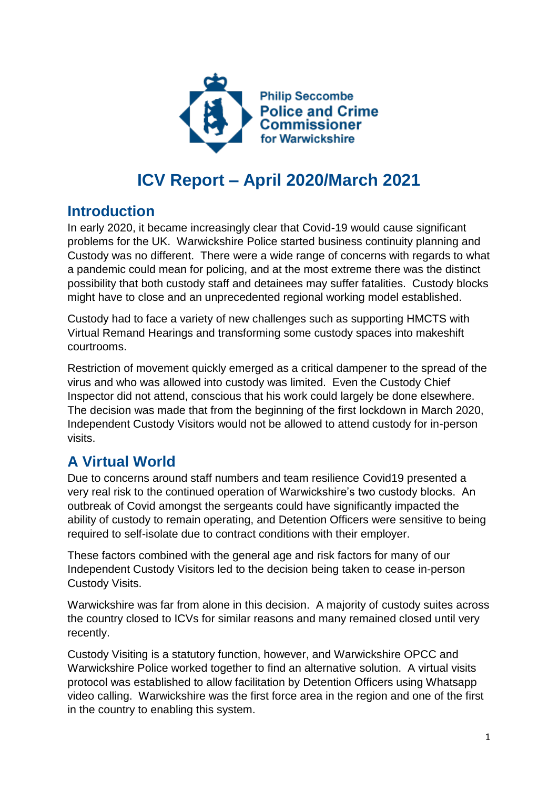

# **ICV Report – April 2020/March 2021**

### **Introduction**

In early 2020, it became increasingly clear that Covid-19 would cause significant problems for the UK. Warwickshire Police started business continuity planning and Custody was no different. There were a wide range of concerns with regards to what a pandemic could mean for policing, and at the most extreme there was the distinct possibility that both custody staff and detainees may suffer fatalities. Custody blocks might have to close and an unprecedented regional working model established.

Custody had to face a variety of new challenges such as supporting HMCTS with Virtual Remand Hearings and transforming some custody spaces into makeshift courtrooms.

Restriction of movement quickly emerged as a critical dampener to the spread of the virus and who was allowed into custody was limited. Even the Custody Chief Inspector did not attend, conscious that his work could largely be done elsewhere. The decision was made that from the beginning of the first lockdown in March 2020, Independent Custody Visitors would not be allowed to attend custody for in-person visits.

# **A Virtual World**

Due to concerns around staff numbers and team resilience Covid19 presented a very real risk to the continued operation of Warwickshire's two custody blocks. An outbreak of Covid amongst the sergeants could have significantly impacted the ability of custody to remain operating, and Detention Officers were sensitive to being required to self-isolate due to contract conditions with their employer.

These factors combined with the general age and risk factors for many of our Independent Custody Visitors led to the decision being taken to cease in-person Custody Visits.

Warwickshire was far from alone in this decision. A majority of custody suites across the country closed to ICVs for similar reasons and many remained closed until very recently.

Custody Visiting is a statutory function, however, and Warwickshire OPCC and Warwickshire Police worked together to find an alternative solution. A virtual visits protocol was established to allow facilitation by Detention Officers using Whatsapp video calling. Warwickshire was the first force area in the region and one of the first in the country to enabling this system.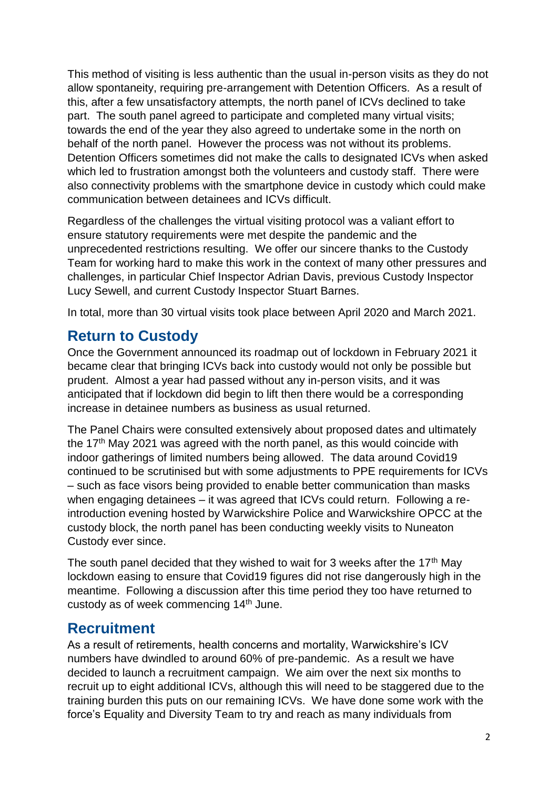This method of visiting is less authentic than the usual in-person visits as they do not allow spontaneity, requiring pre-arrangement with Detention Officers. As a result of this, after a few unsatisfactory attempts, the north panel of ICVs declined to take part. The south panel agreed to participate and completed many virtual visits; towards the end of the year they also agreed to undertake some in the north on behalf of the north panel. However the process was not without its problems. Detention Officers sometimes did not make the calls to designated ICVs when asked which led to frustration amongst both the volunteers and custody staff. There were also connectivity problems with the smartphone device in custody which could make communication between detainees and ICVs difficult.

Regardless of the challenges the virtual visiting protocol was a valiant effort to ensure statutory requirements were met despite the pandemic and the unprecedented restrictions resulting. We offer our sincere thanks to the Custody Team for working hard to make this work in the context of many other pressures and challenges, in particular Chief Inspector Adrian Davis, previous Custody Inspector Lucy Sewell, and current Custody Inspector Stuart Barnes.

In total, more than 30 virtual visits took place between April 2020 and March 2021.

## **Return to Custody**

Once the Government announced its roadmap out of lockdown in February 2021 it became clear that bringing ICVs back into custody would not only be possible but prudent. Almost a year had passed without any in-person visits, and it was anticipated that if lockdown did begin to lift then there would be a corresponding increase in detainee numbers as business as usual returned.

The Panel Chairs were consulted extensively about proposed dates and ultimately the  $17<sup>th</sup>$  May 2021 was agreed with the north panel, as this would coincide with indoor gatherings of limited numbers being allowed. The data around Covid19 continued to be scrutinised but with some adjustments to PPE requirements for ICVs – such as face visors being provided to enable better communication than masks when engaging detainees – it was agreed that ICVs could return. Following a reintroduction evening hosted by Warwickshire Police and Warwickshire OPCC at the custody block, the north panel has been conducting weekly visits to Nuneaton Custody ever since.

The south panel decided that they wished to wait for 3 weeks after the 17<sup>th</sup> May lockdown easing to ensure that Covid19 figures did not rise dangerously high in the meantime. Following a discussion after this time period they too have returned to custody as of week commencing 14th June.

### **Recruitment**

As a result of retirements, health concerns and mortality, Warwickshire's ICV numbers have dwindled to around 60% of pre-pandemic. As a result we have decided to launch a recruitment campaign. We aim over the next six months to recruit up to eight additional ICVs, although this will need to be staggered due to the training burden this puts on our remaining ICVs. We have done some work with the force's Equality and Diversity Team to try and reach as many individuals from